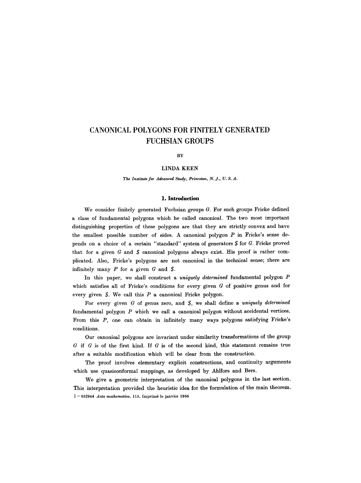# **CANONICAL POLYGONS FOR FINITELY GENERATED FUCHSIAN GROUPS**

#### **BY**

# **LINDA KEEN**

#### *The Institute for Advanced Study, Princeton, N.J., U. S. A.*

### **1. Introduction**

We consider finitely generated Fuchsian groups  $G$ . For such groups Fricke defined a class of fundamental polygons which he called canonical. The two most important distinguishing properties of these polygons are that they are strictly convex and have the smallest possible number of sides. A canonical polygon P in Fricke's sense depends on a choice of a certain "standard" system of generators  $S$  for  $G$ . Fricke proved that for a given  $G$  and  $S$  canonical polygons always exist. His proof is rather complicated. Also, Fricke's polygons are not canonical in the technical sense; there are infinitely many  $P$  for a given  $G$  and  $S$ .

In this paper, we shall construct a *uniquely determined* fundamental polygon P which satisfies all of Fricke's conditions for every given  $G$  of positive genus and for every given  $S$ . We call this  $P$  a canonical Fricke polygon.

For every given G of genus zero, and S, we shall define a *uniquely determined*  fundamental polygon P which we call a canonical polygon without accidental vertices. From this  $P$ , one can obtain in infinitely many ways polygons satisfying Fricke's conditions.

Our canonical polygons are invariant under similarity transformations of the group  $G$  if  $G$  is of the first kind. If  $G$  is of the second kind, this statement remains true after a suitable modification which will be clear from the construction.

The proof involves elementary explicit constructions, and continuity arguments which use quasiconformal mappings, as developed by Ahlfors and Bers.

We give a geometric interpretation of the canonical polygons in the last section. This interpretation provided the heuristic idea for the formulation of the main theorem. 1 --652944 *Acta mathematica.* 115. Imprim6 le janvier 1966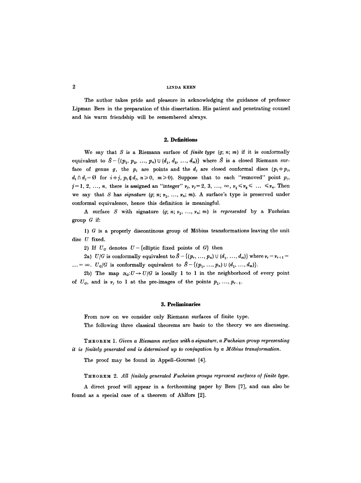The author takes pride and pleasure in acknowledging the guidance of professor Lipman Bers in the preparation of this dissertation. His patient and penetrating counsel and his warm friendship will be remembered always.

### **2. Definitions**

We say that  $S$  is a Riemann surface of *finite type*  $(g; n; m)$  if it is conformally equivalent to  $S-\{(p_1, p_2, ..., p_n) \cup (d_1, d_2, ..., d_m)\}\$  where  $\hat{S}$  is a closed Riemann surface of genus g, the  $p_i$  are points and the  $d_j$  are closed conformal discs  $(p_i \neq p_j,$  $d_i \cap d_j = \emptyset$  for  $i+j$ ,  $p_i \notin d_j$ ,  $n \ge 0$ ,  $m \ge 0$ ). Suppose that to each "removed" point  $p_j$ ,  $j=1, 2, ..., n$ , there is assigned an "integer"  $v_j$ ,  $v_j = 2, 3, ..., \infty$ ,  $v_1 \le v_2 \le ... \le v_n$ . Then we say that S has *signature*  $(g; n; \nu_1, \ldots, \nu_n; m)$ . A surface's type is preserved under conformal equivalence, hence this definition is meaningful.

A surface S with signature  $(g; n; \nu_1, ..., \nu_n; m)$  is *represented* by a Fuchsian group  $G$  if:

1)  $G$  is a properly discontinous group of Möbius transformations leaving the unit disc  $U$  fixed.

2) If  $U_G$  denotes  $U-\{\text{elliptic fixed points of } G\}$  then

2a) *U*/*G* is conformally equivalent to  $\hat{S} - \{(p_r, ..., p_n) \cup (d_1, ..., d_m)\}\$  where  $r_r = r_{r+1} =$  $\ldots = \infty$ .  $U_G/G$  is conformally equivalent to  $S - \{(p_1, \ldots, p_n) \cup (d_1, \ldots, d_m)\}.$ 

2b) The map  $\pi_G: U \to U/G$  is locally 1 to 1 in the neighborhood of every point of  $U_G$ , and is  $v_j$  to 1 at the pre-images of the points  $p_1, ..., p_{r-1}$ .

### **3.** Preliminaries

From now on we consider only Riemann surfaces of finite type. The following three classical theorems are basic to the theory we are discussing.

T~ E O RE M 1. *Given a Riemann sur/ace with a signature, a Fuchsian group representing it is finitely generated and is determined up to conjugation by a Möbius transformation.* 

The proof may be found in Appell-Goursat [4].

THEOREM 2. All *finitely generated Fuchsian groups represent surfaces of finite type.* 

A direct proof will appear in a forthcoming paper by Bers [7], and can also be found as a special case of a theorem of Ahlfors [2].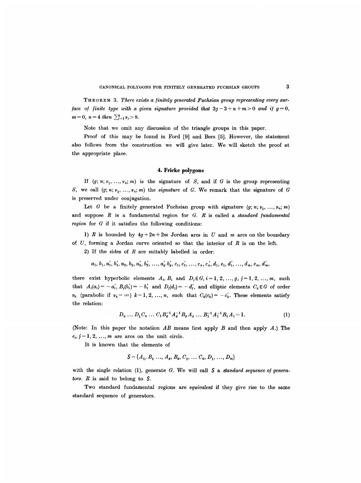THE ORE M 3. *There exists a/initely generated Fuchsian group representing every sur face of finite type with a given signature provided that*  $3g-3+n+m>0$  and if  $g=0$ ,  $m=0, n=4$  then  $\sum_{j=1}^{4} \nu_j > 8$ .

Note that we omit any discussion of the triangle groups in this paper.

Proof of this may be found in Ford  $[9]$  and Bers  $[5]$ . However, the statement also follows from the construction we will give later. We will sketch the proof at the appropriate place.

### 4. Frieke polygons

If  $(g; n; \nu_1, \ldots, \nu_n; m)$  is the signature of S, and if G is the group representing S, we call  $(g; n; \nu_1, \ldots, \nu_n; m)$  the *signature* of G. We remark that the signature of G is preserved under conjugation.

Let G be a finitely generated Fuchsian group with signature  $(g; n; \nu_1, \ldots, \nu_n; m)$ and suppose R is a fundamental region for G. R is called a *standard [undamental region* for G if it satisfies the following conditions:

1) R is bounded by  $4g + 2n + 2m$  Jordan arcs in U and m arcs on the boundary of  $U$ , forming a Jordan curve oriented so that the interior of  $R$  is on the left.

2) If the sides of  $R$  are suitably labelled in order:

$$
a_1, b_1, a'_1, b'_1, a_2, b_2, a'_2, b'_2, \ldots, a'_g b'_g, c_1, c'_1, \ldots, c_n, c'_n, d_1, e_1, d'_1, \ldots, d_m, e_m, d'_m,
$$

there exist hyperbolic elements  $A_i, B_i$  and  $D_j \in G$ ,  $i = 1, 2, ..., g$ ,  $j = 1, 2, ..., m$ , such that  $A_i(a_i) = -a'_i, B_i(b'_i) = -b'_i$  and  $D_i(d_j) = -d'_i$ , and elliptic elements  $C_k \in G$  of order  $v_k$  (parabolic if  $v_k = \infty$ )  $k = 1, 2, ..., n$ , such that  $C_k(c_k) = -c'_k$ . These elements satisfy the relation:

$$
D_n \dots D_1 C_n \dots C_1 B_g^{-1} A_g^{-1} B_g A_g \dots B_1^{-1} A_1^{-1} B_1 A_1 = 1. \tag{1}
$$

(Note: In this paper the notation *AB* means first apply B and then apply A.) The  $e_j$ ,  $j=1, 2, ..., m$  are arcs on the unit circle.

It is known that the elements of

$$
S = \{A_1, B_1, \ldots, A_g, B_g, C_1, \ldots, C_n, D_1, \ldots, D_m\}
$$

with the single relation  $(1)$ , generate  $G$ . We will call  $S$  a *standard sequence of generators. R* is said to belong to S.

Two standard fundamental regions are *equivalent* if they give rise to the same standard sequence of generators.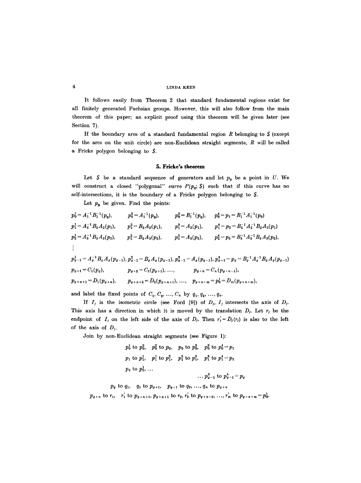It follows easily from Theorem 2 that standard fundamental regions exist for all finitely generated Fuchsian groups. However, this will also follow from the main theorem of this paper; an explicit proof using this theorem will be given later (see Section 7).

If the boundary arcs of a standard fundamental region  $R$  belonging to  $S$  (except for the arcs on the unit circle) are non-Euclidean straight segments, R will be called a Fricke polygon belonging to S.

### **5. Fricke's theorem**

Let  $S$  be a standard sequence of generators and let  $p_0$  be a point in U. We will construct a closed "polygonal" curve  $P(p_0; S)$  such that if this curve has no self-intersections, it is the boundary of a Fricke polygon belonging to \$.

Let  $p_0$  be given. Find the points:

$$
p_0^1 = A_1^{-1} B_1^{-1}(p_0), \t p_0^2 = A_1^{-1}(p_0), \t p_0^3 = B_1^{-1}(p_0), \t p_0^4 = p_1 = B_1^{-1} A_1^{-1}(p_0)
$$
  
\n
$$
p_1^1 = A_2^{-1} B_2 A_2(p_1), \t p_1^2 = B_2 A_2(p_1), \t p_1^3 = A_2(p_1), \t p_1^4 = p_2 = B_2^{-1} A_2^{-1} B_2 A_2(p_1)
$$
  
\n
$$
p_2^1 = A_3^{-1} B_3 A_3(p_2), \t p_2^2 = B_3 A_3(p_2), \t p_2^3 = A_3(p_2), \t p_2^4 = p_3 = B_3^{-1} A_3^{-1} B_3 A_3(p_2),
$$
  
\n:  
\n:  
\n:  
\n:  
\n
$$
p_{0-1}^1 = A_0^{-1} B_0 A_0(p_{0-1}), p_{0-1}^2 = B_0 A_0(p_{0-1}), p_{0-1}^3 = A_0(p_{0-1}), p_{0-1}^4 = p_0 = B_0^{-1} A_0^{-1} B_0 A_0(p_{0-1})
$$
  
\n
$$
p_{0+1} = C_1(p_0), \t p_{0+2} = C_2(p_{0+1}), \ldots, \t p_{0+n} = C_n(p_{0+n-1}),
$$
  
\n
$$
p_{0+n+1} = D_1(p_{0+n}), \t p_{0+n+2} = D_2(p_{0+n+1}), \ldots, \t p_{0+n+m} = p_0^1 = D_m(p_{0+n+m}),
$$

and label the fixed points of  $C_1, C_2, \ldots, C_n$  by  $q_1, q_2, \ldots, q_n$ .

If  $I_j$  is the isometric circle (see Ford [9]) of  $D_j$ ,  $I_j$  intersects the axis of  $D_j$ . This axis has a direction in which it is moved by the translation  $D_j$ . Let  $r_j$  be the endpoint of  $I_j$  on the left side of the axis of  $D_j$ . Then  $r'_j = D_j(r_j)$  is also to the left of the axis of  $D_j$ .

Join by non-Euclidean straight segments (see Figure 1):

$$
p_0^1
$$
 to  $p_0^2$ ,  $p_0^2$  to  $p_0$ ,  $p_0$  to  $p_0^3$ ,  $p_0^3$  to  $p_0^4 = p_1$   
\n $p_1$  to  $p_1^1$ ,  $p_1^1$  to  $p_1^2$ ,  $p_1^2$  to  $p_1^3$ ,  $p_1^3$  to  $p_1^4 = p_2$   
\n $p_2$  to  $p_2^1$ , ...  
\n $p_{g-1}^3$  to  $p_{g-1}^4 = p_g$ 

$$
p_0
$$
 to  $q_1$ ,  $q_1$  to  $p_{g+1}$ ,  $p_{g+1}$  to  $q_2$ , ...,  $q_n$  to  $p_{g+n}$   
\n $p_{g+n}$  to  $r_1$ ,  $r'_1$  to  $p_{g+n+1}$ ,  $p_{g+n+1}$  to  $r_2$ ,  $r'_2$  to  $p_{g+n+2}$ , ...,  $r'_m$  to  $p_{g+n+m} = p_0^1$ .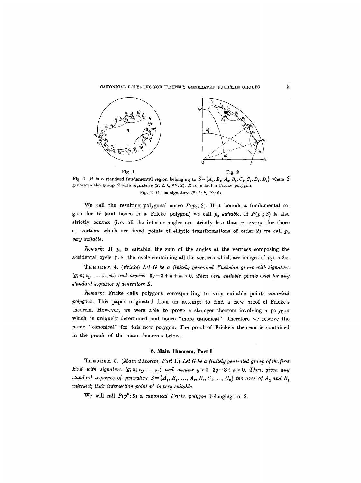### CANONICAL POLYGONS FOR FINITELY GENERATED FUCHSIAN GROUPS



Fig. 1. R is a standard fundamental region belonging to  $S = \{A_1, B_1, A_2, B_2, C_1, C_2, D_1, D_2\}$  where S generates the group G with signature  $(2; 2; k, \infty; 2)$ . R is in fact a Fricke polygon. Fig. 2. G has signature  $(2; 2; k, \infty; 0)$ .

We call the resulting polygonal curve  $P(p_0; S)$ . If it bounds a fundamental region for G (and hence is a Fricke polygon) we call  $p_0$  suitable. If  $P(p_0; S)$  is also strictly convex (i.e. all the interior angles are strictly less than  $\pi$ , except for those at vertices which are fixed points of elliptic transformations of order 2) we call  $p_0$ *very suitable.* 

*Remark:* If  $p_0$  is suitable, the sum of the angles at the vertices composing the accidental cycle (i.e. the cycle containing all the vertices which are images of  $p_0$ ) is  $2\pi$ .

THEOREM 4. *(Fricke) Let G be a finitely generated Fuchsian group with signature*  $(g; n; v_1, \ldots, v_n; m)$  and assume  $3g-3+n+m>0$ . Then very suitable points exist for any *standard sequence of generators* S.

*Remark:* Fricke calls polygons corresponding to very suitable points *canonical polygons.* This paper originated from an attempt to find a new proof of Fricke's theorem. However, we were able to prove a stronger theorem involving a polygon which is uniquely determined and hence "more canonical". Therefore we reserve the name "canonical" for this new polygon. The proof of Fricke's theorem is contained in the proofs of the main theorems below.

### **6. Main Theorem, Part I**

THEOREM 5. *(Main Theorem, Part* I.) *Let G be a finitely generated group o/ the /irst kind with signature*  $(g; n; v_1, ..., v_n)$  and assume  $g > 0$ ,  $3g - 3 + n > 0$ . Then, given any *standard sequence of generators*  $S = \{A_1, B_1, ..., A_g, B_g, C_1, ..., C_n\}$  the axes of  $A_1$  and  $B_1$ *intersect; their intersection point p\* is very suitable.* 

We will call  $P(p^*; S)$  a *canonical Fricke polygon* belonging to S.

 $\bf 5$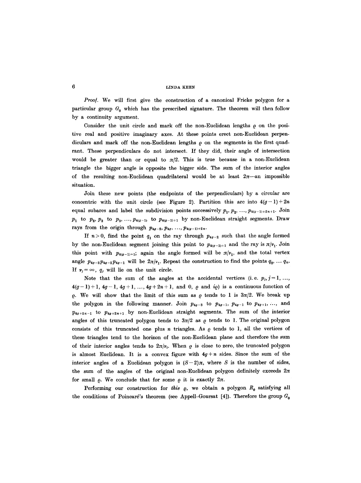Proof. We will first give the construction of a canonical Fricke polygon for a particular group  $G_0$  which has the prescribed signature. The theorem will then follow by a continuity argument.

Consider the unit circle and mark off the non-Euclidean lengths  $\rho$  on the positive real and positive imaginary axes. At these points erect non-Euclidean perpendiculars and mark off the non-Euclidean lengths  $\rho$  on the segments in the first quadrant. These perpendiculars do not intersect. If they did, their angle of intersection would be greater than or equal to  $\pi/2$ . This is true because in a non-Euclidean triangle the bigger angle is opposite the bigger side. The sum of the interior angles of the resulting non-Euclidean quadrilateral would be at least  $2\pi$ —an impossible situation.

Join these new points (the endpoints of the perpendiculars) by a circular arc concentric with the unit circle (see Figure 2). Partition this arc into  $4(g-1)+2n$ equal subarcs and label the subdivision points successively  $p_1, p_2, ..., p_{4(g-1)+2n+1}$ . Join  $p_1$  to  $p_2, p_2$  to  $p_3, ..., p_{4(g-1)}$  to  $p_{4(g-1)+1}$  by non-Euclidean straight segments. Draw rays from the origin through  $p_{4g-2}, p_{4g}, \ldots, p_{4(g-1)+2n}$ .

If  $n>0$ , find the point  $q_1$  on the ray through  $p_{4g-2}$  such that the angle formed by the non-Euclidean segment joining this point to  $p_{4(g-1)+1}$  and the ray is  $\pi/v_1$ . Join this point with  $p_{4(p-1)+1}$ ; again the angle formed will be  $\pi/v_1$ , and the total vertex angle  $p_{4g-3}p_{4g-2}p_{4g-1}$  will be  $2\pi/r_1$ . Repeat the construction to find the points  $q_2, \ldots, q_n$ . If  $v_j = \infty$ ,  $q_j$  will lie on the unit circle.

Note that the sum of the angles at the accidental vertices (i.e.  $p_j$ ,  $j=1, ...,$  $4(g-1)+1$ ,  $4g-1$ ,  $4g+1$ , ...,  $4g+2n+1$ , and 0,  $\varrho$  and  $i\varrho$ ) is a continuous function of  $\rho$ . We will show that the limit of this sum as  $\rho$  tends to 1 is  $3\pi/2$ . We break up the polygon in the following manner. Join  $p_{4g-3}$  to  $p_{4g-1}$ ,  $p_{4g-1}$  to  $p_{4g+1}$ , ..., and  $p_{4g+2n-1}$  to  $p_{4g+2n+1}$  by non-Euclidean straight segments. The sum of the interior angles of this truncated polygon tends to  $3\pi/2$  as  $\rho$  tends to 1. The original polygon consists of this truncated one plus  $n$  triangles. As  $\rho$  tends to 1, all the vertices of these triangles tend to the horizon of the non-Euclidean plane and therefore the sum of their interior angles tends to  $2\pi/\nu_{i}$ . When  $\rho$  is close to zero, the truncated polygon is almost Euclidean. It is a convex figure with  $4g+n$  sides. Since the sum of the interior angles of a Euclidean polygon is  $(S-2)\pi$ , where S is the number of sides, the sum of the angles of the original non-Euclidean polygon definitely exceeds  $2\pi$ for small  $\rho$ . We conclude that for some  $\rho$  it is exactly  $2\pi$ .

Performing our construction for *this*  $\rho$ , we obtain a polygon  $R_0$  satisfying all the conditions of Poincaré's theorem (see Appell-Goursat [4]). Therefore the group  $G_0$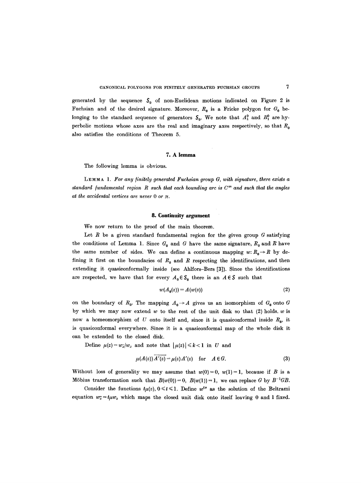generated by the sequence  $S_0$  of non-Euclidean motions indicated on Figure 2 is Fuchsian and of the desired signature. Moreover,  $R_0$  is a Fricke polygon for  $G_0$  belonging to the standard sequence of generators  $S_0$ . We note that  $A_1^0$  and  $B_1^0$  are hyperbolic motions whose axes are the real and imaginary axes respectively, so that  $R_0$ also satisfies the conditions of Theorem 5.

### **7. A lemma**

The following lemma is obvious.

LEMMA 1. For any finitely generated Fuchsian group G, with signature, there exists a standard fundamental region R such that each bounding arc is  $C^{\infty}$  and such that the angles *at the accidental vertices are never 0 or*  $\pi$ *.* 

### **8. Continuity argument**

We now return to the proof of the main theorem.

Let R be a given standard fundamental region for the given group  $G$  satisfying the conditions of Lemma 1. Since  $G_0$  and G have the same signature,  $R_0$  and R have the same number of sides. We can define a continuous mapping  $w: R_0 \to R$  by defining it first on the boundaries of  $R_0$  and R respecting the identifications, and then extending it quasieonformally inside (see Ahlfors-Bers [3]). Since the identifications are respected, we have that for every  $A_0 \in S_0$  there is an  $A \in S$  such that

$$
w(A_0(z)) = A(w(z))
$$
 (2)

on the boundary of  $R_0$ . The mapping  $A_0 \rightarrow A$  gives us an isomorphism of  $G_0$  onto G by which we may now extend w to the rest of the unit disk so that  $(2)$  holds. w is now a homeomorphism of U onto itself and, since it is quasiconformal inside  $R_0$ , it is quasiconformal everywhere. Since it is a quasiconformal map of the whole disk it can be extended to the closed disk.

Define  $\mu(z) = w_{\overline{z}}/w_z$  and note that  $|\mu(z)| \le k < 1$  in U and

$$
\mu(A(z))A'(z) = \mu(z)A'(z) \quad \text{for} \quad A \in G. \tag{3}
$$

Without loss of generality we may assume that  $w(0)=0$ ,  $w(1)=1$ , because if B is a Möbius transformation such that  $B(w(0))=0$ ,  $B(w(1))=1$ , we can replace G by  $B^{-1}GB$ .

Consider the functions  $t\mu(z)$ ,  $0 \le t \le 1$ . Define  $w^{t\mu}$  as the solution of the Beltrami equation  $w_z = t \mu w_z$  which maps the closed unit disk onto itself leaving 0 and 1 fixed.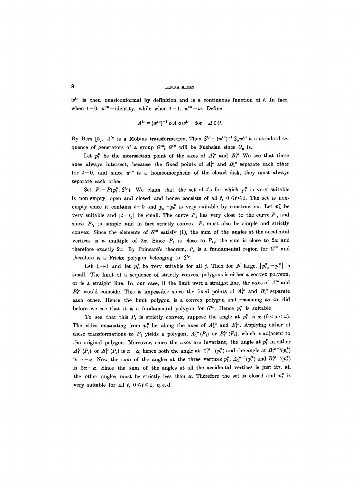$w^{t\mu}$  is then quasiconformal by definition and is a continuous function of t. In fact, when  $t = 0$ ,  $w^{t\mu} =$  identity, while when  $t = 1$ ,  $w^{t\mu} = w$ . Define

$$
A^{t\mu} = (w^{t\mu})^{-1} \circ A \circ w^{t\mu} \quad \text{for} \quad A \in G.
$$

By Bers [5],  $A^{t\mu}$  is a Möbius transformation. Then  $S^{t\mu} = (w^{t\mu})^{-1} S_0 w^{t\mu}$  is a standard sequence of generators of a group  $G^{t\mu}$ ;  $G^{t\mu}$  will be Fuchsian since  $G_0$  is.

Let  $p_t^*$  be the intersection point of the axes of  $A_1^{t\mu}$  and  $B_1^{t\mu}$ . We see that these axes always intersect, because the fixed points of  $A_1^{t\mu}$  and  $B_1^{t\mu}$  separate each other for  $t = 0$ , and since  $w^{t\mu}$  is a homeomorphism of the closed disk, they must always separate each other.

Set  $P_t = P(p_t^*, \mathcal{S}^{t\mu})$ . We claim that the set of t's for which  $p_t^*$  is very suitable is non-empty, open and closed and hence consists of all  $t, 0 \le t \le 1$ . The set is nonempty since it contains  $t=0$  and  $p_0 = p_0^*$  is very suitable by construction. Let  $p_{t_0}^*$  be very suitable and  $|t-t_0|$  be small. The curve  $P_t$  lies very close to the curve  $P_{t_0}$  and since  $P_{t_0}$  is simple and in fact strictly convex,  $P_t$  must also be simple and strictly convex. Since the elements of  $S^{t\mu}$  satisfy (1), the sum of the angles at the accidental vertices is a multiple of  $2\pi$ . Since  $P_t$  is close to  $P_{t_0}$ , the sum is close to  $2\pi$  and therefore exactly  $2\pi$ . By Poincaré's theorem,  $P_t$  is a fundamental region for  $G^{t\mu}$  and therefore is a Fricke polygon belonging to  $S^{t\mu}$ .

Let  $t_j \rightarrow t$  and let  $p_{t_j}^*$  be very suitable for all j. Then for N large,  $|p_{t_N}^* - p_t^*|$  is small. The limit of a sequence of strictly convex polygons is either a convex polygon, or is a straight line. In our case, if the limit were a straight line, the axes of  $A_1^{\mu\mu}$  and  $B_1^{\mu\mu}$  would coincide. This is impossible since the fixed points of  $A_1^{\mu\mu}$  and  $B_1^{\mu\mu}$  separate each other. Hence the limit polygon is a convex polygon and reasoning as we did before we see that it is a fundamental polygon for  $G^{t\mu}$ . Hence  $p_t^*$  is suitable.

To see that this  $P_t$  is strictly convex, suppose the angle at  $p_t^*$  is  $\alpha$ ,  $(0 < \alpha < \pi)$ . The sides emanating from  $p_t^*$  lie along the axes of  $A_1^{t\mu}$  and  $B_1^{t\mu}$ . Applying either of these transformations to  $P_t$  yields a polygon,  $A_1^{t\mu}(P_t)$  or  $B_1^{t\mu}(P_t)$ , which is adjacent to the original polygon. Moreover, since the axes are invariant, the angle at  $p_t^*$  in either  $A_1^{t\mu}(P_t)$  or  $B_1^{t\mu}(P_t)$  is  $\pi-\alpha$ ; hence both the angle at  $A_1^{t\mu-1}(p_t^*)$  and the angle at  $B_1^{t\mu-1}(p_t^*)$ is  $\pi-\alpha$ . Now the sum of the angles at the three vertices  $p_t^*$ ,  $A_1^{t\mu-1}(p_t^*)$  and  $B_1^{t\mu-1}(p_t^*)$ is  $2\pi-\alpha$ . Since the sum of the angles at all the accidental vertices is just  $2\pi$ , all the other angles must be strictly less than  $\pi$ . Therefore the set is closed and  $p_t^*$  is very suitable for all t,  $0 \le t \le 1$ , q.e.d.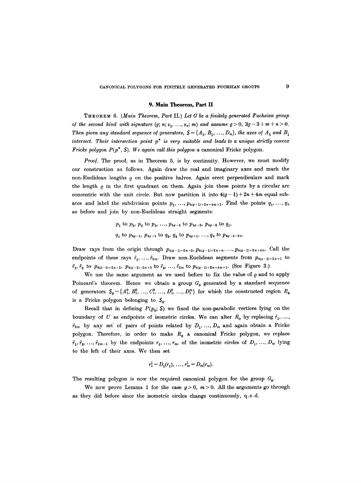#### **9. Main Theorem, Part II**

THEOREM 6. *(Main Theorem, Pa~* II.) *Let G be a/initely generated Fuchsian group of the second kind with signature*  $(g; n; \nu_1, ..., \nu_n; m)$  and assume  $g > 0$ ,  $3g - 3 + m + n > 0$ . *Then given any standard sequence of generators,*  $S = \{A_1, B_1, ..., D_m\}$ , the axes of  $A_1$  and  $B_1$ *intersect. Their intersection point p\* is very suitable and leads to a unique strictly convex Fricke polygon P(p\*, S). We again call this polygon a canonical Fricke polygon.* 

Proof. The proof, as in Theorem 5, is by continuity. However, we must modify our construction as follows. Again draw the real and imaginary axes and mark the non-Euclidean lengths  $\rho$  on the positive halves. Again erect perpendiculars and mark the length  $\rho$  in the first quadrant on them. Again join these points by a circular arc concentric with the unit circle. But now partition it into  $4(g-1)+2n+4m$  equal subarcs and label the subdivision points  $p_1, \ldots, p_{4(g-1)+2n+4m+1}$ . Find the points  $q_1, \ldots, q_n$ as before and join by non-Euclidean straight segments:

$$
p_1
$$
 to  $p_2$ ,  $p_2$  to  $p_3$ , ...,  $p_{4g-4}$  to  $p_{4g-3}$ ,  $p_{4g-3}$  to  $q_1$ ,  
 $q_1$  to  $p_{4g-1}$ ,  $p_{4g-1}$  to  $q_2$ ,  $q_2$  to  $p_{4g+1}$ , ...,  $q_n$  to  $p_{4g-4+2n}$ .

Draw rays from the origin through  $p_{4(g-1)+2n+2}$ ,  $p_{4(g-1)+2n+4}$ , ...,  $p_{4(g-1)+2n+4m}$ . Call the endpoints of these rays  $\tilde{r}_1, ..., \tilde{r}_{2m}$ . Draw non-Euclidean segments from  $p_{4(g-1)+2n+1}$  to  $~\tilde{r}_1,~\tilde{r}_2$  to  $p_{4(g-1)+2n+5},~p_{4(g-1)+2n+5}$  to  $\tilde{r}_3,~\ldots,~\tilde{r}_{2m}$  to  $p_{4(g-1)+2n+4m+1}$ . (See Figure 3.)

We use the same argument as we used before to fix the value of  $\rho$  and to apply Poincaré's theorem. Hence we obtain a group  $G_0$  generated by a standard sequence of generators  $S_0 = \{A_1^0, B_1^0, ..., C_1^0, ..., D_1^0, ..., D_1^m\}$  for which the constructed region  $R_0$ is a Fricke polygon belonging to  $S_0$ .

Recall that in defining  $P(p_0; S)$  we fixed the non-parabolic vertices lying on the boundary of U as endpoints of isometric circles. We can alter  $R_0$  by replacing  $\tilde{r}_1$ , ...,  $\tilde{r}_{2m}$  by any set of pairs of points related by  $D_1, \ldots, D_m$  and again obtain a Fricke polygon. Therefore, in order to make  $R_0$  a canonical Fricke polygon, we replace  $\tilde{r}_1, \tilde{r}_3, \ldots, \tilde{r}_{2m-1}$  by the endpoints  $r_1, \ldots, r_m$ , of the isometric circles of  $D_1, \ldots, D_m$  lying to the left of their axes. We then set

$$
r_1^1 = D_1(r_1), \ldots, r_m^1 = D_m(r_m).
$$

The resulting polygon is now the required canonical polygon for the group  $G_0$ .

We now prove Lemma 1 for the case  $g > 0$ ,  $m > 0$ . All the arguments go through as they did before since the isometric circles change continuously, q.e. d,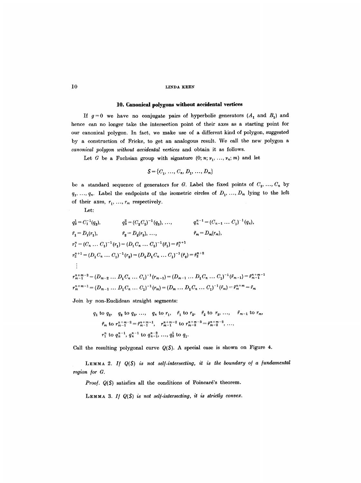### **10. Canonical polygons without accidental vertices**

If  $g=0$  we have no conjugate pairs of hyperbolic generators  $(A_1 \text{ and } B_1)$  and hence can no longer take the intersection point of their axes as a starting point for our canonical polygon. In fact, we make use of a different kind of polygon, suggested by a construction of Frieke, to get an analogous result. We call the new polygon a *canonical polygon without accidental vertices* and obtain it as follows.

Let G be a Fuchsian group with signature  $(0; n; \nu_1, \ldots, \nu_n; m)$  and let

$$
S = \{C_1, \ldots, C_n, D_1, \ldots, D_m\}
$$

be a standard sequence of generators for G. Label the fixed points of  $C_1, ..., C_n$  by  $q_1, \ldots, q_n$ . Label the endpoints of the isometric circles of  $D_1, \ldots, D_m$  lying to the left of their axes,  $r_1, \ldots, r_m$  respectively.

Let:

$$
q_2^1 = C_1^{-1}(q_2), \qquad q_3^2 = (C_2 C_1)^{-1}(q_3), \dots, \qquad q_n^{n-1} = (C_{n-1} \dots C_1)^{-1}(q_n),
$$
  
\n
$$
\bar{r}_1 = D_1(r_1), \qquad \bar{r}_2 = D_2(r_2), \dots, \qquad \bar{r}_m = D_m(r_m),
$$
  
\n
$$
r_1^n = (C_n \dots C_1)^{-1}(r_1) = (D_1 C_n \dots C_1)^{-1}(\tilde{r}_1) = \tilde{r}_1^{n+1}
$$
  
\n
$$
r_2^{n+1} = (D_1 C_n \dots C_1)^{-1}(r_2) = (D_2 D_1 C_n \dots C_1)^{-1}(\tilde{r}_2) = \tilde{r}_2^{n+2}
$$
  
\n
$$
\vdots
$$
  
\n
$$
r_{m-1}^{n+m-2} = (D_{m-2} \dots D_1 C_n \dots C_1)^{-1}(r_{m-1}) = (D_{m-1} \dots D_1 C_n \dots C_1)^{-1}(\tilde{r}_{m-1}) = \tilde{r}_{m-1}^{n+m-1}
$$
  
\n
$$
r_m^{n+m-1} = (D_{m-1} \dots D_1 C_n \dots C_1)^{-1}(r_m) = (D_m \dots D_1 C_n \dots C_1)^{-1}(\tilde{r}_m) = \tilde{r}_m^{n+m} = \tilde{r}_m
$$

Join by non-Euclidean straight segments:

$$
q_1 \text{ to } q_2, \quad q_2 \text{ to } q_3, \ldots, \quad q_n \text{ to } r_1, \quad \bar{r}_1 \text{ to } r_2, \quad \bar{r}_2 \text{ to } r_3, \ldots, \quad \bar{r}_{m-1} \text{ to } r_m,
$$
\n
$$
\bar{r}_m \text{ to } r_{m-1}^{n+m-2} = \bar{r}_{m-1}^{n+m-1}, \quad r_{m-1}^{n+m-2} \text{ to } r_{m-2}^{n+m-3} = \bar{r}_{m-2}^{n+m-2}, \ldots,
$$
\n
$$
r_1^n \text{ to } q_n^{n-1}, \quad q_n^{n-1} \text{ to } q_{n-1}^{n-2}, \ldots, q_2^1 \text{ to } q_1.
$$

Call the resulting polygonal curve  $Q(S)$ . A special case is shown on Figure 4.

LEMMA 2. If  $Q(S)$  is not self-intersecting, it is the boundary of a fundamental *region /or G.* 

Proof.  $Q(S)$  satisfies all the conditions of Poincaré's theorem.

LEMMA 3. If  $Q(S)$  is not self-intersecting, it is strictly convex.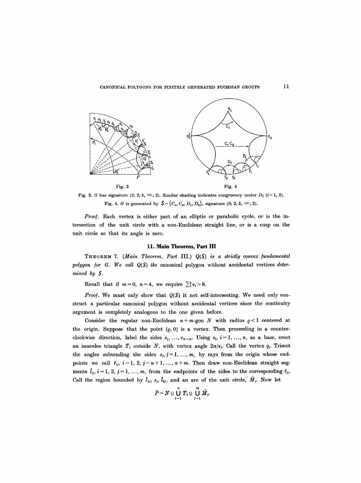

Fig. 3. G has signature (2; 2; k,  $\infty$ ; 2). Similar shading indicates congruency under  $D_i$  (i=1, 2). Fig. 4. G is generated by  $S = \{C_1, C_2, D_1, D_2\}$ , signature (0; 2; k,  $\infty$ ; 2).

*Proof.* Each vertex is either part of an elliptic or parabolic cycle, or is the intersection of the unit circle with a non-Euclidean straight line, or is a cusp on the unit circle so that its angle is zero.

### **11. Main Theorem, Part** III

THEOREM 7. *(Main Theorem, Part* III.) Q(\$) *is a strictly convex /undamental polygon /or G. We call Q(\$) the* canonical polygon without accidental vertices *determined by S.* 

Recall that if  $m = 0$ ,  $n = 4$ , we require  $\sum_{i=1}^{4} \nu_i > 8$ .

*Proof.* We must only show that  $Q(S)$  it not self-intersecting. We need only construct a particular canonical polygon without accidental vertices since the continuity argument is completely analogous to the one given before.

Consider the regular non-Euclidean  $n+m$ -gon N with radius  $\rho < 1$  centered at the origin. Suppose that the point  $(0, 0)$  is a vertex. Then proceeding in a counterclockwise direction, label the sides  $s_1, \ldots, s_{n+m}$ . Using  $s_i$ ,  $i=1, \ldots, n$ , as a base, erect an isosceles triangle  $T_i$  outside N, with vertex angle  $2\pi/\nu_i$ . Call the vertex  $q_i$ . Trisect the angles subtending the sides  $s_j$ ,  $j=1, ..., m$ , by rays from the origin whose endpoints we call  $\tilde{r}_{ij}$ ,  $i = 1, 2, j = n + 1, ..., n + m$ . Then draw non-Euclidean straight segments  $\tilde{l}_{ij}$ ,  $i = 1, 2, j = 1, ..., m$ , from the endpoints of the sides to the corresponding  $\tilde{r}_{ij}$ . Call the region bounded by  $\tilde{l}_{1i}$ ,  $s_j$ ,  $\tilde{l}_{2j}$ , and an arc of the unit circle,  $M_j$ . Now let

$$
\hat{P}=N\cup\bigcup_{i=1}^n T_i\cup\bigcup_{j=1}^m \tilde{M}_j.
$$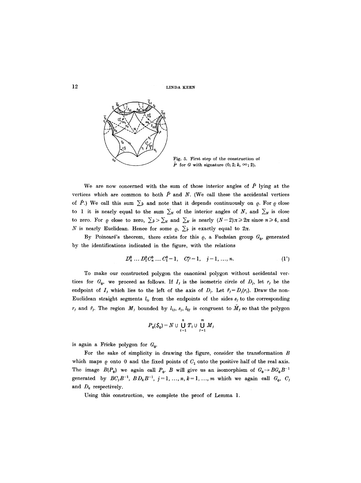12 LINDA KEEN



Fig. 5. First step of the construction of  $\hat{P}$  for G with signature  $(0; 2; k, \infty; 2)$ .

We are now concerned with the sum of those interior angles of  $\hat{P}$  lying at the vertices which are common to both  $\hat{P}$  and N. (We call these the accidental vertices of  $\hat{P}$ .) We call this sum  $\sum \hat{P}$  and note that it depends continuously on  $Q$ . For  $Q$  close to 1 it is nearly equal to the sum  $\sum_N$  of the interior angles of N, and  $\sum_N$  is close to zero. For  $\rho$  close to zero,  $\sum_{\hat{p}} > \sum_{N}$  and  $\sum_{N}$  is nearly  $(N-2)\pi \geq 2\pi$  since  $n \geq 4$ , and N is nearly Euclidean. Hence for some  $\rho$ ,  $\Sigma \hat{P}$  is exactly equal to  $2\pi$ .

By Poincaré's theorem, there exists for this  $\rho$ , a Fuchsian group  $G_0$ , generated by the identifications indicated in the figure, with the relations

$$
D_k^0 \dots D_1^0 C_n^0 \dots C_1^0 = 1, \quad C_j^{\nu_j} = 1, \quad j = 1, \dots, n. \tag{1'}
$$

To make our constructed polygon the canonical polygon without accidental vertices for  $G_0$ , we proceed as follows. If  $I_j$  is the isometric circle of  $D_j$ , let  $r_j$  be the endpoint of  $I_j$  which lies to the left of the axis of  $D_j$ . Let  $\bar{r}_j=D_j(r_j)$ . Draw the non-Euclidean straight segments  $l_{ij}$  from the endpoints of the sides  $s_j$  to the corresponding  $r_j$  and  $\bar{r}_j$ . The region  $M_j$  bounded by  $l_{1j}$ ,  $s_j$ ,  $l_{2j}$  is congruent to  $\bar{M}_j$  so that the polygon

$$
P_0(\mathcal{S}_0) = N \cup \bigcup_{i=1}^n T_i \cup \bigcup_{j=1}^m M_j
$$

is again a Fricke polygon for  $G_0$ .

For the sake of simplicity in drawing the figure, consider the transformation  $B$ which maps  $\rho$  onto 0 and the fixed points of  $C_1$  onto the positive half of the real axis. The image  $B(P_0)$  we again call  $P_0$ . B will give us an isomorphism of  $G_0 \rightarrow BG_0B^{-1}$ generated by  $BC_jB^{-1}$ ,  $BD_kB^{-1}$ ,  $j=1, ..., n, k=1, ..., m$  which we again call  $G_0$ ,  $C_j$ and  $D_k$  respectively.

Using this construction, we complete the proof of Lemma 1.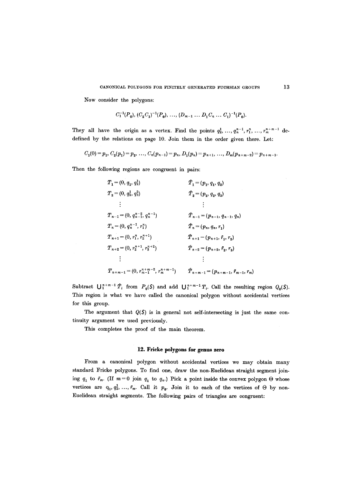Now consider the polygons:

$$
C_1^{-1}(P_0), (C_2C_1)^{-1}(P_0), \ldots, (D_{m-1} \ldots D_1C_n \ldots C_1)^{-1}(P_0).
$$

They all have the origin as a vertex. Find the points  $q_2^1, \ldots, q_n^{n-1}, r_1^n, \ldots, r_m^{n+m-1}$  dedefined by the relations on page 10. Join them in the order given there. Let:

$$
C_1(0) = p_1, C_2(p_1) = p_2, \ldots, C_n(p_{n-1}) = p_n, D_1(p_n) = p_{n+1}, \ldots, D_m(p_{n+m-2}) = p_{n+m-1}.
$$

Then the following regions are congruent in pairs:

$$
T_1 = (0, q_1, q_2)
$$
  
\n
$$
T_2 = (0, q_2, q_3)
$$
  
\n
$$
\vdots
$$
  
\n
$$
T_{n-1} = (0, q_n^{n-2}, q_n^{n-1})
$$
  
\n
$$
T_{n-1} = (0, q_n^{n-1}, q_n^{n-1})
$$
  
\n
$$
T_{n-1} = (0, q_n^{n-1}, r_1^{n})
$$
  
\n
$$
T_{n+1} = (0, r_1^{n}, r_2^{n+1})
$$
  
\n
$$
T_{n+2} = (0, r_2^{n+1}, r_3^{n+2})
$$
  
\n
$$
T_{n+3} = (p_{n+1}, r_{n+2}, r_{n+3})
$$
  
\n
$$
T_{n+2} = (p_{n+1}, r_2, r_3)
$$
  
\n
$$
\vdots
$$
  
\n
$$
T_{n+m-1} = (0, r_n^{n+m-2}, r_n^{n+m-1})
$$
  
\n
$$
T_{n+m-1} = (p_{n+m-1}, \bar{r}_{m-1}, r_m)
$$

Subtract  $\bigcup_{i=1}^{n+m-1} \hat{T}_i$  from  $P_0(S)$  and add  $\bigcup_{i=1}^{n+m-1} T_i$ . Call the resulting region  $Q_0(S)$ . This region is what we have called the canonical polygon without accidental vertices for this group.

The argument that  $Q(S)$  is in general not self-intersecting is just the same continuity argument we used previously.

This completes the proof of the main theorem.

# **12. Fricke polygons for genus zero**

From a canonical polygon without accidental vertices we may obtain many standard Fricke polygons. To find one, draw the non-Euclidean straight segment joining  $q_1$  to  $\bar{r}_m$ . (If  $m=0$  join  $q_1$  to  $q_n$ .) Pick a point inside the convex polygon  $\Theta$  whose vertices are  $q_1, q_2^1, \ldots, \bar{r}_m$ . Call it  $p_0$ . Join it to each of the vertices of  $\Theta$  by non-Euclidean straight segments. The following pairs of triangles are congruent: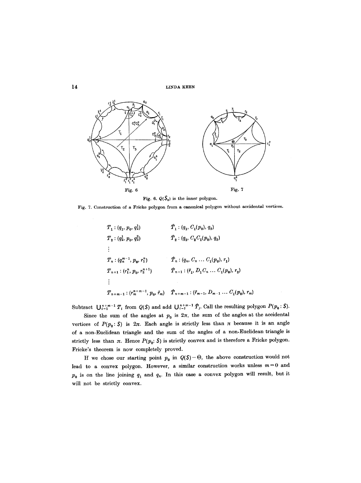```
14 LINDA KEEN
```


Fig. 6.  $Q(\mathcal{S}_0)$  is the inner polygon.

Fig. 7. Construction of a Fricke polygon from a canonical polygon without accidental vertices.

$$
T_1: (q_1, p_0, q_2^1) \qquad \qquad \hat{T}_1: (q_1, C_1(p_0), q_2)
$$
  
\n
$$
T_2: (q_2^1, p_0, q_3^2) \qquad \qquad \hat{T}_2: (q_2, C_2C_1(p_0), q_3)
$$
  
\n
$$
\vdots
$$
  
\n
$$
T_n: (q_n^{m-1}, p_0, r_1^n) \qquad \qquad \hat{T}_n: (q_n, C_n \dots C_1(p_0), r_1)
$$
  
\n
$$
T_{n+1}: (r_1^n, p_0, r_2^{n+1}) \qquad \qquad \hat{T}_{n+1}: (\tilde{r}_1, D_1C_n \dots C_1(p_0), r_2)
$$
  
\n
$$
\vdots
$$
  
\n
$$
T_{n+m-1}: (r_n^{n+m-1}, p_0, \tilde{r}_m) \qquad \hat{T}_{n+m-1}: (\tilde{r}_{m-1}, D_{m-1} \dots C_1(p_0), r_m)
$$

Subtract  $\bigcup_{i=1}^{n+m-1} T_i$  from  $Q(S)$  and add  $\bigcup_{i=1}^{n+m-1} \hat{T}_i$ . Call the resulting polygon  $P(p_0: S)$ .

Since the sum of the angles at  $p_0$  is  $2\pi$ , the sum of the angles at the accidental vertices of  $P(p_0: S)$  is  $2\pi$ . Each angle is strictly less than  $\pi$  because it is an angle of a non-Euclidean triangle and the sum of the angles of a non-Euclidean triangle is strictly less than  $\pi$ . Hence  $P(p_0: S)$  is strictly convex and is therefore a Fricke polygon. Fricke's theorem is now completely proved.

If we chose our starting point  $p_0$  in  $Q(S)-\Theta$ , the above construction would not lead to a convex polygon. However, a similar construction works unless  $m=0$  and  $p_0$  is on the line joining  $q_1$  and  $q_n$ . In this case a convex polygon will result, but it will not be strictly convex.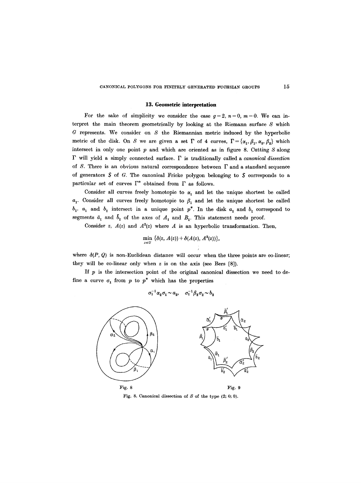#### **13. Geometric interpretation**

For the sake of simplicity we consider the case  $g=2$ ,  $n=0$ ,  $m=0$ . We can interpret the main theorem geometrically by looking at the Riemann surface  $S$  which G represents. We consider on S the Riemannian metric induced by the hyperbolic metric of the disk. On S we are given a set  $\Gamma$  of 4 curves,  $\Gamma = {\alpha_1, \beta_1, \alpha_2, \beta_2}$  which intersect in only one point  $p$  and which are oriented as in figure 8. Cutting  $S$  along F will yield a simply connected surface. F is traditionally called a *canonical dissection*  of S. There is an obvious natural correspondence between  $\Gamma$  and a standard sequence of generators  $S$  of G. The canonical Fricke polygon belonging to  $S$  corresponds to a particular set of curves  $\Gamma^*$  obtained from  $\Gamma$  as follows.

Consider all curves freely homotopic to  $\alpha_1$  and let the unique shortest be called  $a_1$ . Consider all curves freely homotopic to  $\beta_1$  and let the unique shortest be called  $b_1$ .  $a_1$  and  $b_1$  intersect in a unique point  $p^*$ . In the disk  $a_1$  and  $b_1$  correspond to segments  $\bar{a}_1$  and  $\bar{b}_1$  of the axes of  $A_1$  and  $B_1$ . This statement needs proof.

Consider *z*,  $A(z)$  and  $A^2(z)$  where A is an hyperbolic transformation. Then,

$$
\min_{z\in U} \ \{\delta(z, A(z)) + \delta(A(z), A^2(z))\},\
$$

where  $\delta(P, Q)$  is non-Euclidean distance will occur when the three points are co-linear; they will be co-linear only when z is on the axis (see Bers [8]).

*J* 

If  $p$  is the intersection point of the original canonical dissection we need to define a curve  $\sigma_1$  from p to  $p^*$  which has the properties

$$
\sigma_1^{-1} \alpha_2 \sigma_1 \sim a_2, \quad \sigma_1^{-1} \beta_2 \sigma_2 \sim b_2
$$



Fig. 8. Canonical dissection of  $S$  of the type  $(2; 0; 0)$ .